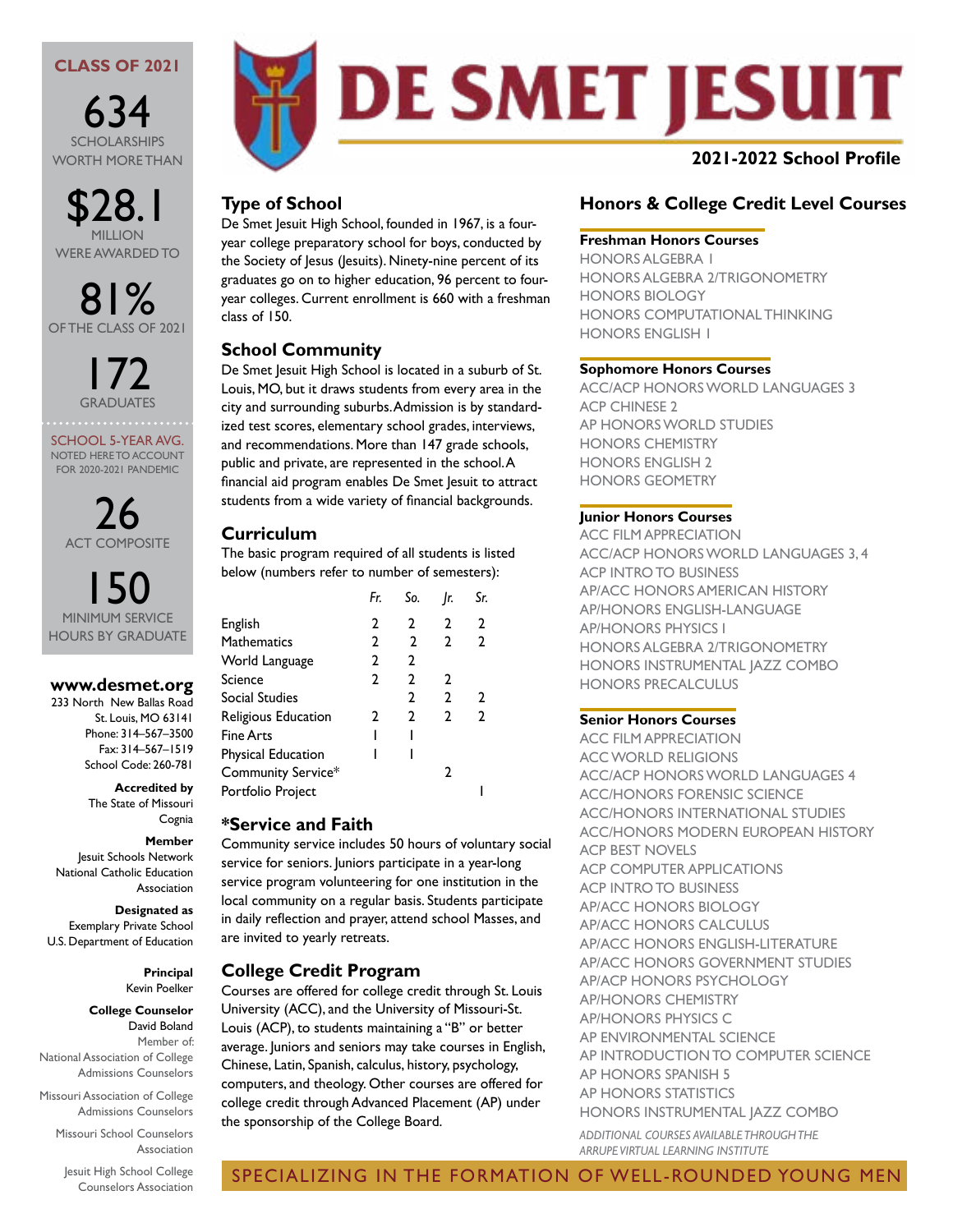## **CLASS OF 2021**

634 SCHOLARSHIPS WORTH MORE THAN

\$28.1 MILLION WERE AWARDED TO

81% OF THE CLASS OF 2021

> 172 **GRADUATES**

SCHOOL 5-YEAR AVG. NOTED HERE TO ACCOUNT FOR 2020-2021 PANDEMIC

26 ACT COMPOSITE

ISO HOURS BY GRADUATE

## **www.desmet.org**

233 North New Ballas Road St. Louis, MO 63141 Phone: 314–567–3500 Fax: 314–567–1519 School Code: 260-781

**Accredited by**

The State of Missouri Cognia

#### **Member**

Jesuit Schools Network National Catholic Education Association

#### **Designated as**

Exemplary Private School U.S. Department of Education

#### **Principal** Kevin Poelker

**College Counselor** David Boland

Member of: National Association of College Admissions Counselors

Missouri Association of College Admissions Counselors

> Missouri School Counselors Association

Jesuit High School College Counselors Association



# **Type of School**

De Smet Jesuit High School, founded in 1967, is a fouryear college preparatory school for boys, conducted by the Society of Jesus (Jesuits). Ninety-nine percent of its graduates go on to higher education, 96 percent to fouryear colleges. Current enrollment is 660 with a freshman class of 150.

# **School Community**

De Smet Jesuit High School is located in a suburb of St. Louis, MO, but it draws students from every area in the city and surrounding suburbs. Admission is by standardized test scores, elementary school grades, interviews, and recommendations. More than 147 grade schools, public and private, are represented in the school. A financial aid program enables De Smet Jesuit to attract students from a wide variety of financial backgrounds.

## **Curriculum**

The basic program required of all students is listed below (numbers refer to number of semesters):

|                     | Fr. | So.            | Ir.          | Sr.          |  |
|---------------------|-----|----------------|--------------|--------------|--|
| English             | 2   | $\mathbf{2}$   | 2            | 2            |  |
| <b>Mathematics</b>  | 2   | $\overline{2}$ | $\mathbf{2}$ | $\mathbf{2}$ |  |
| World Language      | 2   | 2              |              |              |  |
| Science             | 2   | 2              | 2            |              |  |
| Social Studies      |     | 2              | $\mathbf{2}$ | 2            |  |
| Religious Education | 2   | 2              | 2            | $\mathbf{2}$ |  |
| Fine Arts           |     |                |              |              |  |
| Physical Education  |     |                |              |              |  |
| Community Service*  |     |                | 2            |              |  |
| Portfolio Project   |     |                |              |              |  |
|                     |     |                |              |              |  |

## **\*Service and Faith**

Community service includes 50 hours of voluntary social service for seniors. Juniors participate in a year-long service program volunteering for one institution in the local community on a regular basis. Students participate in daily reflection and prayer, attend school Masses, and are invited to yearly retreats.

## **College Credit Program**

Courses are offered for college credit through St. Louis University (ACC), and the University of Missouri-St. Louis (ACP), to students maintaining a "B" or better average. Juniors and seniors may take courses in English, Chinese, Latin, Spanish, calculus, history, psychology, computers, and theology. Other courses are offered for college credit through Advanced Placement (AP) under the sponsorship of the College Board.

# **Honors & College Credit Level Courses**

#### **Freshman Honors Courses**

HONORS ALGEBRA 1 HONORS ALGEBRA 2/TRIGONOMETRY HONORS BIOLOGY HONORS COMPUTATIONAL THINKING HONORS ENGLISH 1

#### **Sophomore Honors Courses**

ACC/ACP HONORS WORLD LANGUAGES 3 ACP CHINESE 2 AP HONORS WORLD STUDIES HONORS CHEMISTRY HONORS ENGLISH 2 HONORS GEOMETRY

## **Junior Honors Courses**

ACC FILM APPRECIATION ACC/ACP HONORS WORLD LANGUAGES 3, 4 ACP INTRO TO BUSINESS AP/ACC HONORS AMERICAN HISTORY AP/HONORS ENGLISH-LANGUAGE AP/HONORS PHYSICS I HONORS ALGEBRA 2/TRIGONOMETRY HONORS INSTRUMENTAL JAZZ COMBO HONORS PRECALCULUS

## **Senior Honors Courses**

ACC FILM APPRECIATION ACC WORLD RELIGIONS ACC/ACP HONORS WORLD LANGUAGES 4 ACC/HONORS FORENSIC SCIENCE ACC/HONORS INTERNATIONAL STUDIES ACC/HONORS MODERN EUROPEAN HISTORY ACP BEST NOVELS ACP COMPUTER APPLICATIONS ACP INTRO TO BUSINESS AP/ACC HONORS BIOLOGY AP/ACC HONORS CALCULUS AP/ACC HONORS ENGLISH-LITERATURE AP/ACC HONORS GOVERNMENT STUDIES AP/ACP HONORS PSYCHOLOGY AP/HONORS CHEMISTRY AP/HONORS PHYSICS C AP ENVIRONMENTAL SCIENCE AP INTRODUCTION TO COMPUTER SCIENCE AP HONORS SPANISH 5 AP HONORS STATISTICS HONORS INSTRUMENTAL JAZZ COMBO

*ADDITIONAL COURSES AVAILABLE THROUGH THE ARRUPE VIRTUAL LEARNING INSTITUTE*